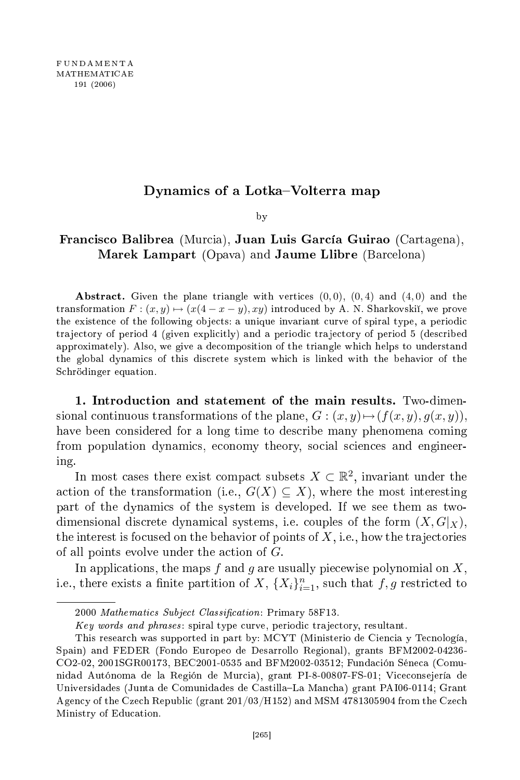## Dynamics of a Lotka–Volterra map

by  $\overline{\phantom{a}}$ 

## Francisco Balibrea (Murcia), Juan Luis García Guirao (Cartagena), Marek Lampart (Opava) and Jaume Llibre (Barcelona)

Abstract. Given the plane triangle with vertices  $(0,0)$ ,  $(0,4)$  and  $(4,0)$  and the transformation  $F: (x, y) \mapsto (x(4 - x - y), xy)$  introduced by A. N. Sharkovskii, we prove the existence of the following objects: a unique invariant curve of spiral type, a periodic trajectory of period 4 (given explicitly) and a periodic trajectory of period 5 (described approximately). Also, we give a de
omposition of the triangle whi
h helps to understand the global dynami
s of this dis
rete system whi
h is linked with the behavior of the S
hrödinger equation.

1. Introdu
tion and statement of the main results. Two-dimensional continuous transformations of the plane,  $G: (x, y) \mapsto (f(x, y), g(x, y)),$ have been considered for a long time to describe many phenomena coming from population dynami
s, e
onomy theory, so
ial s
ien
es and engineering.

In most cases there exist compact subsets  $X \subset \mathbb{R}^2$ , invariant under the action of the transformation (i.e.,  $G(X) \subseteq X$ ), where the most interesting part of the dynami
s of the system is developed. If we see them as twodimensional discrete dynamical systems, i.e. couples of the form  $(X, G|_X)$ , the interest is focused on the behavior of points of  $X$ , i.e., how the trajectories of all points evolve under the action of  $G$ .

In applications, the maps f and g are usually piecewise polynomial on  $X$ , i.e., there exists a finite partition of  $X$ ,  $\{X_i\}_{i=1}^n$ , such that  $f, g$  restricted to

<sup>2000</sup> Mathematics Subject Classification: Primary 58F13.

Key words and phrases: spiral type curve, periodic trajectory, resultant.

This resear
h was supported in part by: MCYT (Ministerio de Cien
ia y Te
nología, Spain) and FEDER (Fondo Europeo de Desarrollo Regional), grants BFM2002-04236- CO2-02, 2001SGR00173, BEC2001-0535 and BFM2002-03512; Funda
ión Séne
a (Comunidad Autónoma de la Región de Murcia), grant PI-8-00807-FS-01; Viceconsejería de Universidades (Junta de Comunidades de Castilla-La Mancha) grant PAI06-0114; Grant Agency of the Czech Republic (grant 201/03/H152) and MSM 4781305904 from the Czech Ministry of Edu
ation.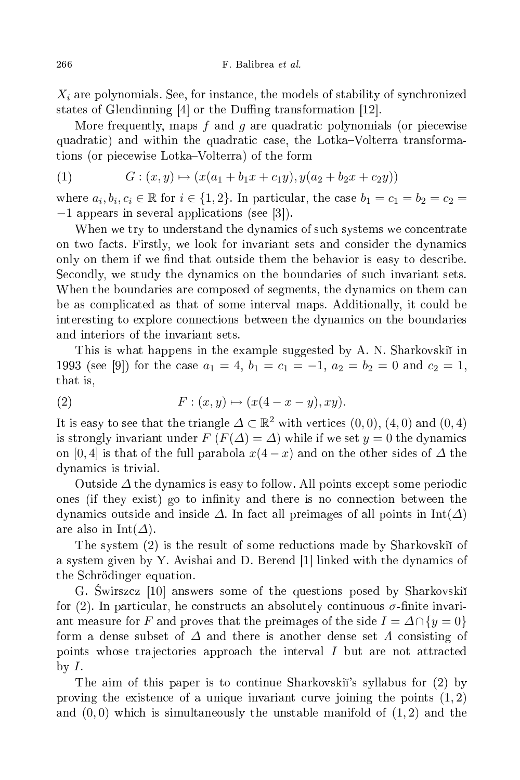$X_i$  are polynomials. See, for instance, the models of stability of synchronized states of Glendinning  $[4]$  or the Duffing transformation  $[12]$ .

More frequently, maps  $f$  and  $g$  are quadratic polynomials (or piecewise quadratic) and within the quadratic case, the Lotka–Volterra transformations (or piecewise Lotka–Volterra) of the form

(1) 
$$
G: (x, y) \mapsto (x(a_1 + b_1x + c_1y), y(a_2 + b_2x + c_2y))
$$

where  $a_i, b_i, c_i \in \mathbb{R}$  for  $i \in \{1, 2\}$ . In particular, the case  $b_1 = c_1 = b_2 = c_2 =$  $-1$  appears in several applications (see [3]).

When we try to understand the dynamics of such systems we concentrate on two facts. Firstly, we look for invariant sets and consider the dynamics only on them if we find that outside them the behavior is easy to describe. Secondly, we study the dynamics on the boundaries of such invariant sets. When the boundaries are composed of segments, the dynamics on them can be as ompli
ated as that of some interval maps. Additionally, it ould be interesting to explore onne
tions between the dynami
s on the boundaries and interiors of the invariant sets.

This is what happens in the example suggested by A. N. Sharkovski in 1993 (see [9]) for the case  $a_1 = 4$ ,  $b_1 = c_1 = -1$ ,  $a_2 = b_2 = 0$  and  $c_2 = 1$ , that is,

(2) 
$$
F: (x, y) \mapsto (x(4-x-y), xy).
$$

It is easy to see that the triangle  $\Delta \subset \mathbb{R}^2$  with vertices  $(0,0)$ ,  $(4,0)$  and  $(0,4)$ is strongly invariant under  $F(F(\Delta) = \Delta)$  while if we set  $y = 0$  the dynamics on [0, 4] is that of the full parabola  $x(4-x)$  and on the other sides of  $\Delta$  the dynami
s is trivial.

Outside  $\varDelta$  the dynamics is easy to follow. All points except some periodic ones (if they exist) go to infinity and there is no connection between the dynamics outside and inside  $\Delta$ . In fact all preimages of all points in Int( $\Delta$ ) are also in Int( $\varDelta$ ).

The system (2) is the result of some redu
tions made by Sharkovski of a system given by Y. Avishai and D. Berend  $[1]$  linked with the dynamics of the S
hrödinger equation.

G. Swirszcz [10] answers some of the questions posed by Sharkovskiı̆ for (2). In particular, he constructs an absolutely continuous  $\sigma$ -finite invariant measure for F and proves that the preimages of the side  $I = \Delta \cap \{y = 0\}$ form a dense subset of  $\Delta$  and there is another dense set  $\Lambda$  consisting of points whose trajectories approach the interval  $I$  but are not attracted by  $I$ .

The aim of this paper is to ontinue Sharkovski's syllabus for (2) by proving the existence of a unique invariant curve joining the points  $(1, 2)$ and  $(0,0)$  which is simultaneously the unstable manifold of  $(1,2)$  and the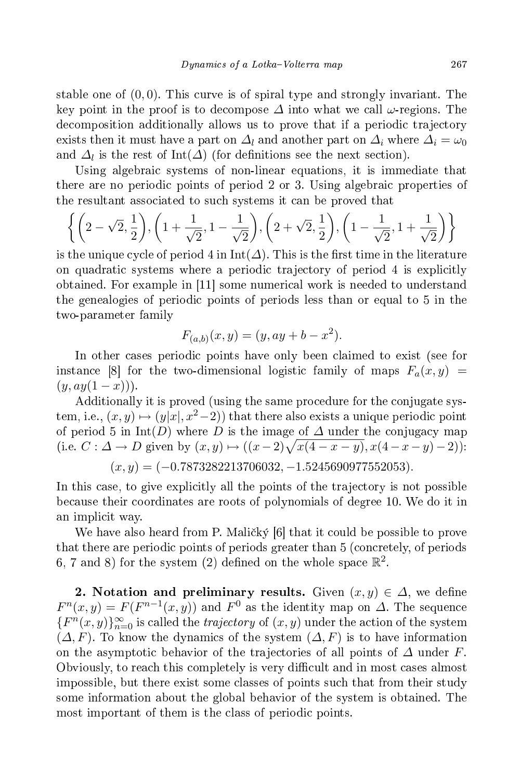stable one of  $(0, 0)$ . This curve is of spiral type and strongly invariant. The key point in the proof is to decompose  $\Delta$  into what we call  $\omega$ -regions. The decomposition additionally allows us to prove that if a periodic trajectory exists then it must have a part on  $\Delta_l$  and another part on  $\Delta_i$  where  $\Delta_i = \omega_0$ and  $\Delta_l$  is the rest of Int( $\Delta$ ) (for definitions see the next section).

Using algebraic systems of non-linear equations, it is immediate that there are no periodic points of period 2 or 3. Using algebraic properties of the resultant asso
iated to su
h systems it an be proved that

$$
\left\{ \left(2-\sqrt{2},\frac{1}{2}\right), \left(1+\frac{1}{\sqrt{2}},1-\frac{1}{\sqrt{2}}\right), \left(2+\sqrt{2},\frac{1}{2}\right), \left(1-\frac{1}{\sqrt{2}},1+\frac{1}{\sqrt{2}}\right) \right\}
$$

is the unique cycle of period 4 in  $Int(\Delta)$ . This is the first time in the literature on quadratic systems where a periodic trajectory of period 4 is explicitly obtained. For example in  $[11]$  some numerical work is needed to understand the genealogies of periodic points of periods less than or equal to 5 in the two-parameter family

$$
F_{(a,b)}(x,y) = (y, ay + b - x^2).
$$

In other cases periodic points have only been claimed to exist (see for instance [8] for the two-dimensional logistic family of maps  $F_a(x,y)$  $(y, ay(1-x))$ .

Additionally it is proved (using the same pro
edure for the onjugate system, i.e.,  $(x, y) \mapsto (y|x|, x^2-2)$  that there also exists a unique periodic point of period 5 in Int(D) where D is the image of  $\Delta$  under the conjugacy map (i.e. *C* :  $\Delta$  → *D* given by  $(x, y)$  →  $((x-2)\sqrt{x(4-x-y)}, x(4-x-y)-2)$ ):

$$
(x,y) = (-0.7873282213706032, -1.5245690977552053).
$$

In this case, to give explicitly all the points of the trajectory is not possible be
ause their oordinates are roots of polynomials of degree 10. We do it in an impli
it way.

We have also heard from P. Maličký [6] that it could be possible to prove that there are periodic points of periods greater than 5 (concretely, of periods 6, 7 and 8) for the system (2) defined on the whole space  $\mathbb{R}^2$ .

2. Notation and preliminary results. Given  $(x, y) \in \Delta$ , we define  $F^{n}(x, y) = F(F^{n-1}(x, y))$  and  $F^{0}$  as the identity map on  $\Delta$ . The sequence  ${F^n(x,y)}_{n=0}^{\infty}$  is called the *trajectory* of  $(x, y)$  under the action of the system  $(\Delta, F)$ . To know the dynamics of the system  $(\Delta, F)$  is to have information on the asymptotic behavior of the trajectories of all points of  $\Delta$  under F. Obviously, to reach this completely is very difficult and in most cases almost impossible, but there exist some lasses of points su
h that from their study some information about the global behavior of the system is obtained. The most important of them is the class of periodic points.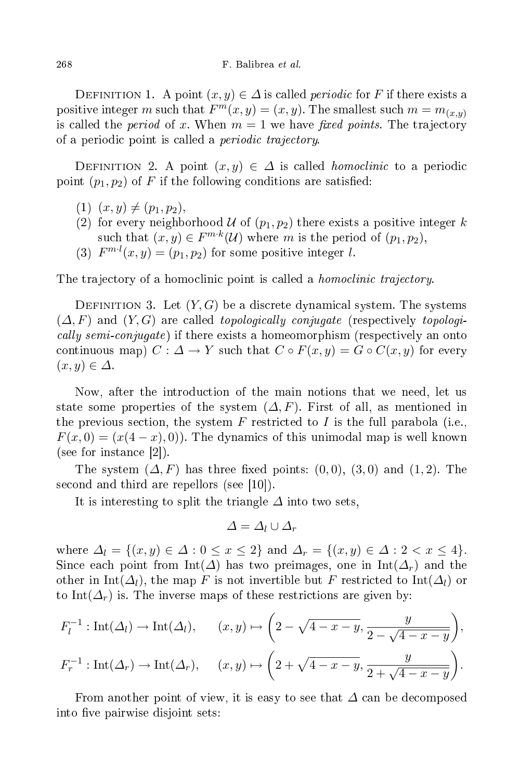DEFINITION 1. A point  $(x, y) \in \Delta$  is called *periodic* for F if there exists a positive integer m such that  $F^m(x, y) = (x, y)$ . The smallest such  $m = m_{(x, y)}$ is called the *period* of x. When  $m = 1$  we have *fixed points*. The trajectory of a periodic point is called a *periodic trajectory*.

DEFINITION 2. A point  $(x, y) \in \Delta$  is called *homoclinic* to a periodic point  $(p_1, p_2)$  of F if the following conditions are satisfied:

- $(1)$   $(x, y) \neq (p_1, p_2),$
- (2) for every neighborhood U of  $(p_1, p_2)$  there exists a positive integer k such that  $(x, y) \in F^{m \cdot k}(\mathcal{U})$  where m is the period of  $(p_1, p_2)$ ,
- (3)  $F^{m,l}(x,y) = (p_1, p_2)$  for some positive integer l.

The trajectory of a homoclinic point is called a *homoclinic trajectory*.

DEFINITION 3. Let  $(Y, G)$  be a discrete dynamical system. The systems  $(\Delta, F)$  and  $(Y, G)$  are called *topologically conjugate* (respectively *topologi*cally semi-conjugate) if there exists a homeomorphism (respectively an onto continuous map)  $C: \Delta \to Y$  such that  $C \circ F(x, y) = G \circ C(x, y)$  for every  $(x, y) \in \Delta$ .

Now, after the introdu
tion of the main notions that we need, let us state some properties of the system  $(\Delta, F)$ . First of all, as mentioned in the previous section, the system F restricted to I is the full parabola (i.e.,  $F(x, 0) = (x(4-x), 0)$ . The dynamics of this unimodal map is well known  $(see for instance  $|2|)$ ).$ 

The system  $(\Delta, F)$  has three fixed points:  $(0, 0)$ ,  $(3, 0)$  and  $(1, 2)$ . The second and third are repellors (see  $[10]$ ).

It is interesting to split the triangle  $\Delta$  into two sets,

$$
\Delta = \Delta_l \cup \Delta_r
$$

where  $\Delta_l = \{(x, y) \in \Delta : 0 \leq x \leq 2\}$  and  $\Delta_r = \{(x, y) \in \Delta : 2 < x \leq 4\}.$ Since each point from  $\text{Int}(\Delta)$  has two preimages, one in  $\text{Int}(\Delta_r)$  and the other in Int( $\Delta_l$ ), the map F is not invertible but F restricted to Int( $\Delta_l$ ) or to Int( $\Delta_r$ ) is. The inverse maps of these restrictions are given by:

$$
F_l^{-1}: \text{Int}(\Delta_l) \to \text{Int}(\Delta_l), \qquad (x, y) \mapsto \left(2 - \sqrt{4 - x - y}, \frac{y}{2 - \sqrt{4 - x - y}}\right),
$$
  

$$
F_r^{-1}: \text{Int}(\Delta_r) \to \text{Int}(\Delta_r), \qquad (x, y) \mapsto \left(2 + \sqrt{4 - x - y}, \frac{y}{2 + \sqrt{4 - x - y}}\right).
$$

From another point of view, it is easy to see that  $\Delta$  can be decomposed into five pairwise disjoint sets: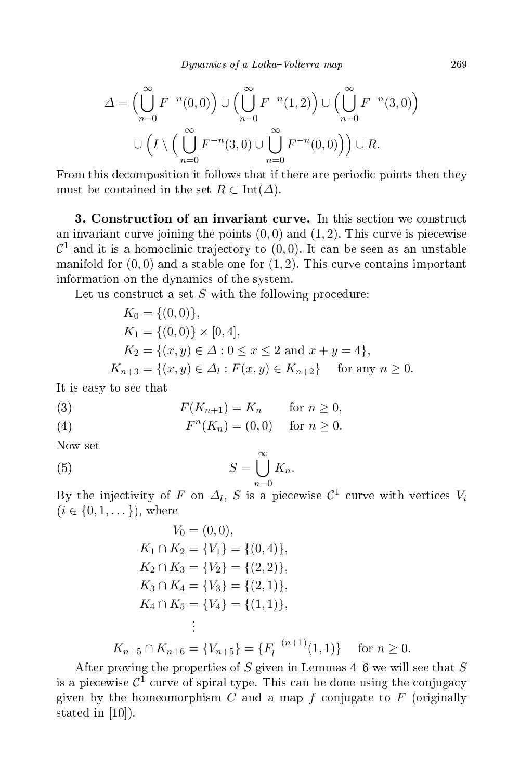$$
\Delta = \left(\bigcup_{n=0}^{\infty} F^{-n}(0,0)\right) \cup \left(\bigcup_{n=0}^{\infty} F^{-n}(1,2)\right) \cup \left(\bigcup_{n=0}^{\infty} F^{-n}(3,0)\right)
$$

$$
\cup \left(I \setminus \left(\bigcup_{n=0}^{\infty} F^{-n}(3,0)\cup \bigcup_{n=0}^{\infty} F^{-n}(0,0)\right)\right) \cup R.
$$

From this decomposition it follows that if there are periodic points then they must be contained in the set  $R \subset \text{Int}(\Delta)$ .

3. Construction of an invariant curve. In this section we construct an invariant curve joining the points  $(0,0)$  and  $(1,2)$ . This curve is piecewise  $\mathcal{C}^1$  and it is a homoclinic trajectory to  $(0,0)$ . It can be seen as an unstable manifold for  $(0,0)$  and a stable one for  $(1,2)$ . This curve contains important information on the dynami
s of the system.

Let us construct a set  $S$  with the following procedure:

$$
K_0 = \{(0,0)\},
$$
  
\n
$$
K_1 = \{(0,0)\} \times [0,4],
$$
  
\n
$$
K_2 = \{(x,y) \in \Delta : 0 \le x \le 2 \text{ and } x+y=4\},
$$
  
\n
$$
K_{n+3} = \{(x,y) \in \Delta_l : F(x,y) \in K_{n+2}\} \text{ for any } n \ge 0.
$$

It is easy to see that

(3) 
$$
F(K_{n+1}) = K_n \quad \text{for } n \ge 0,
$$

(4) 
$$
F^{n}(K_{n}) = (0,0)
$$
 for  $n \ge 0$ .

Now set

(5) 
$$
S = \bigcup_{n=0}^{\infty} K_n.
$$

By the injectivity of F on  $\Delta_l$ , S is a piecewise  $\mathcal{C}^1$  curve with vertices  $V_i$  $(i \in \{0, 1, \dots\})$ , where

$$
V_0 = (0, 0),
$$
  
\n
$$
K_1 \cap K_2 = \{V_1\} = \{(0, 4)\},
$$
  
\n
$$
K_2 \cap K_3 = \{V_2\} = \{(2, 2)\},
$$
  
\n
$$
K_3 \cap K_4 = \{V_3\} = \{(2, 1)\},
$$
  
\n
$$
K_4 \cap K_5 = \{V_4\} = \{(1, 1)\},
$$
  
\n
$$
\vdots
$$

 $K_{n+5} \cap K_{n+6} = \{V_{n+5}\} = \{F_l^{-(n+1)}\}$  $\{u^{-(n+1)}(1,1)\}$  for  $n \geq 0$ .

After proving the properties of  $S$  given in Lemmas 4-6 we will see that  $S$ is a piecewise  $C^1$  curve of spiral type. This can be done using the conjugacy given by the homeomorphism  $C$  and a map  $f$  conjugate to  $F$  (originally stated in  $[10]$ ).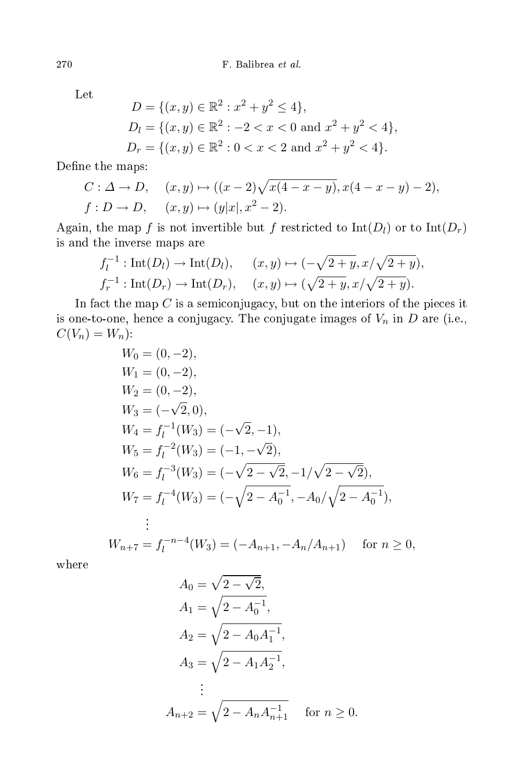Let

$$
D = \{(x, y) \in \mathbb{R}^2 : x^2 + y^2 \le 4\},
$$
  
\n
$$
D_l = \{(x, y) \in \mathbb{R}^2 : -2 < x < 0 \text{ and } x^2 + y^2 < 4\},
$$
  
\n
$$
D_r = \{(x, y) \in \mathbb{R}^2 : 0 < x < 2 \text{ and } x^2 + y^2 < 4\}.
$$

Define the maps:

$$
C: \Delta \to D, \quad (x, y) \mapsto ((x - 2)\sqrt{x(4 - x - y)}, x(4 - x - y) - 2),
$$
  

$$
f: D \to D, \quad (x, y) \mapsto (y|x|, x^2 - 2).
$$

Again, the map f is not invertible but f restricted to  $Int(D_l)$  or to  $Int(D_r)$ is and the inverse maps are

$$
f_l^{-1}: \text{Int}(D_l) \to \text{Int}(D_l), \quad (x, y) \mapsto (-\sqrt{2+y}, x/\sqrt{2+y}), f_r^{-1}: \text{Int}(D_r) \to \text{Int}(D_r), \quad (x, y) \mapsto (\sqrt{2+y}, x/\sqrt{2+y}).
$$

In fact the map  $C$  is a semiconjugacy, but on the interiors of the pieces it is one-to-one, hence a conjugacy. The conjugate images of  $V_n$  in  $D$  are (i.e.,  $C(V_n) = W_n$ :

$$
W_0 = (0, -2),
$$
  
\n
$$
W_1 = (0, -2),
$$
  
\n
$$
W_2 = (0, -2),
$$
  
\n
$$
W_3 = (-\sqrt{2}, 0),
$$
  
\n
$$
W_4 = f_l^{-1}(W_3) = (-\sqrt{2}, -1),
$$
  
\n
$$
W_5 = f_l^{-2}(W_3) = (-1, -\sqrt{2}),
$$
  
\n
$$
W_6 = f_l^{-3}(W_3) = (-\sqrt{2 - \sqrt{2}}, -1/\sqrt{2 - \sqrt{2}}),
$$
  
\n
$$
W_7 = f_l^{-4}(W_3) = (-\sqrt{2 - A_0^{-1}}, -A_0/\sqrt{2 - A_0^{-1}}),
$$
  
\n
$$
\vdots
$$
  
\n
$$
W_{n+7} = f_l^{-n-4}(W_3) = (-A_{n+1}, -A_n/A_{n+1}) \text{ for } n \ge 0,
$$

where

$$
A_0 = \sqrt{2 - \sqrt{2}},
$$
  
\n
$$
A_1 = \sqrt{2 - A_0^{-1}},
$$
  
\n
$$
A_2 = \sqrt{2 - A_0 A_1^{-1}},
$$
  
\n
$$
A_3 = \sqrt{2 - A_1 A_2^{-1}},
$$
  
\n
$$
\vdots
$$
  
\n
$$
A_{n+2} = \sqrt{2 - A_n A_{n+1}^{-1}} \quad \text{for } n \ge 0.
$$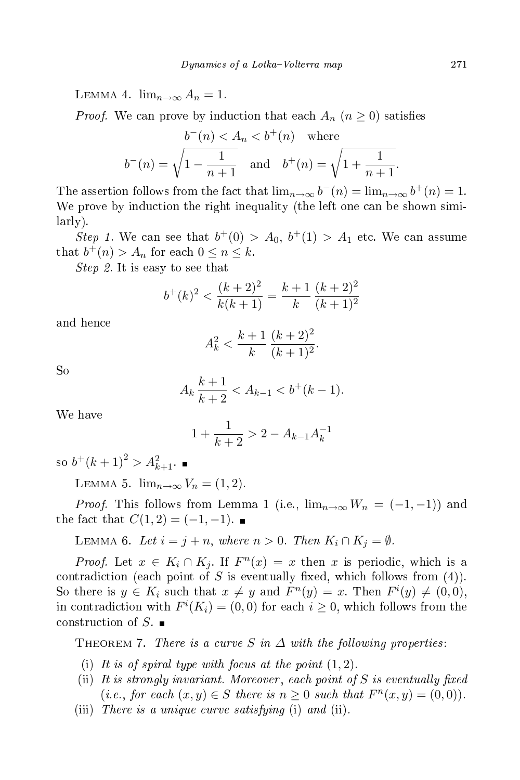LEMMA 4.  $\lim_{n\to\infty} A_n = 1$ .

*Proof.* We can prove by induction that each  $A_n$   $(n \geq 0)$  satisfies

$$
b^-(n) < A_n < b^+(n)
$$
 where  
 $b^-(n) = \sqrt{1 - \frac{1}{n+1}}$  and  $b^+(n) = \sqrt{1 + \frac{1}{n+1}}$ 

The assertion follows from the fact that  $\lim_{n\to\infty} b^{-}(n) = \lim_{n\to\infty} b^{+}(n) = 1$ . We prove by induction the right inequality (the left one can be shown similarly).

Step 1. We can see that  $b^+(0) > A_0$ ,  $b^+(1) > A_1$  etc. We can assume that  $b^+(n) > A_n$  for each  $0 \le n \le k$ .

Step 2. It is easy to see that

$$
b^{+}(k)^{2} < \frac{(k+2)^{2}}{k(k+1)} = \frac{k+1}{k} \frac{(k+2)^{2}}{(k+1)^{2}}
$$

and hen
e

$$
A_k^2 < \frac{k+1}{k} \frac{(k+2)^2}{(k+1)^2}.
$$

So

$$
A_k \frac{k+1}{k+2} < A_{k-1} < b^+(k-1).
$$

We have

$$
1 + \frac{1}{k+2} > 2 - A_{k-1}A_k^{-1}
$$

so  $b^+(k+1)^2 > A_{k+1}^2$ .

LEMMA 5.  $\lim_{n\to\infty} V_n = (1, 2)$ .

*Proof.* This follows from Lemma 1 (i.e.,  $\lim_{n\to\infty}W_n=(-1,-1)$ ) and the fact that  $C(1, 2) = (-1, -1)$ .

LEMMA 6. Let  $i = j + n$ , where  $n > 0$ . Then  $K_i \cap K_j = \emptyset$ .

*Proof.* Let  $x \in K_i \cap K_j$ . If  $F^n(x) = x$  then x is periodic, which is a contradiction (each point of S is eventually fixed, which follows from  $(4)$ ). So there is  $y \in K_i$  such that  $x \neq y$  and  $F^n(y) = x$ . Then  $F^i(y) \neq (0,0)$ , in contradiction with  $F^{i}(K_{i}) = (0,0)$  for each  $i \geq 0$ , which follows from the construction of  $S$ .

THEOREM 7. There is a curve S in  $\Delta$  with the following properties:

- (i) It is of spiral type with focus at the point  $(1, 2)$ .
- (ii) It is strongly invariant. Moreover, each point of  $S$  is eventually fixed (*i.e.*, for each  $(x, y) \in S$  there is  $n \geq 0$  such that  $F<sup>n</sup>(x, y) = (0, 0)$ ).
- (iii) There is a unique curve satisfying (i) and (ii).

.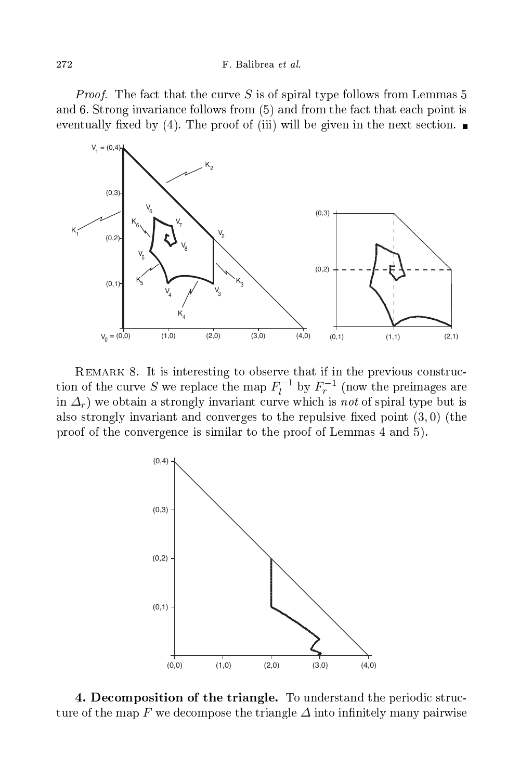*Proof.* The fact that the curve S is of spiral type follows from Lemmas 5 and 6. Strong invarian
e follows from (5) and from the fa
t that ea
h point is eventually fixed by (4). The proof of (iii) will be given in the next section.



REMARK 8. It is interesting to observe that if in the previous construction of the curve S we replace the map  $F_l^{-1}$  by  $F_r^{-1}$  (now the preimages are in  $\Delta_r$ ) we obtain a strongly invariant curve which is not of spiral type but is also strongly invariant and converges to the repulsive fixed point  $(3,0)$  (the proof of the onvergen
e is similar to the proof of Lemmas 4 and 5).



4. Decomposition of the triangle. To understand the periodic structure of the map F we decompose the triangle  $\varDelta$  into infinitely many pairwise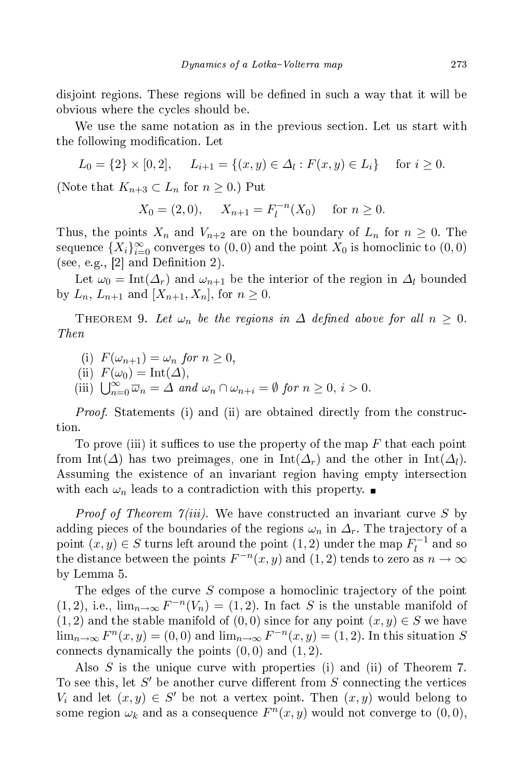disjoint regions. These regions will be defined in such a way that it will be obvious where the cycles should be.

We use the same notation as in the previous section. Let us start with the following modification. Let

$$
L_0 = \{2\} \times [0, 2], \quad L_{i+1} = \{(x, y) \in \Delta_l : F(x, y) \in L_i\} \quad \text{for } i \ge 0.
$$

(Note that  $K_{n+3} \subset L_n$  for  $n \geq 0$ .) Put

$$
X_0 = (2,0),
$$
  $X_{n+1} = F_l^{-n}(X_0)$  for  $n \ge 0$ .

Thus, the points  $X_n$  and  $V_{n+2}$  are on the boundary of  $L_n$  for  $n \geq 0$ . The sequence  $\{X_i\}_{i=0}^{\infty}$  converges to  $(0,0)$  and the point  $X_0$  is homoclinic to  $(0,0)$ (see, e.g.,  $[2]$  and Definition 2).

Let  $\omega_0 = \text{Int}(\Delta_r)$  and  $\omega_{n+1}$  be the interior of the region in  $\Delta_l$  bounded by  $L_n$ ,  $L_{n+1}$  and  $[X_{n+1}, X_n]$ , for  $n \geq 0$ .

THEOREM 9. Let  $\omega_n$  be the regions in  $\Delta$  defined above for all  $n \geq 0$ . Then

- (i)  $F(\omega_{n+1}) = \omega_n$  for  $n > 0$ ,
- (ii)  $F(\omega_0) = \text{Int}(\Delta),$
- (iii)  $\bigcup_{n=0}^{\infty} \overline{\omega}_n = \Delta$  and  $\omega_n \cap \omega_{n+i} = \emptyset$  for  $n \geq 0$ ,  $i > 0$ .

*Proof.* Statements (i) and (ii) are obtained directly from the construction.

To prove (iii) it suffices to use the property of the map  $F$  that each point from Int( $\Delta$ ) has two preimages, one in Int $(\Delta_r)$  and the other in Int $(\Delta_l)$ . Assuming the existen
e of an invariant region having empty interse
tion with each  $\omega_n$  leads to a contradiction with this property.

*Proof of Theorem*  $\gamma(iii)$ *.* We have constructed an invariant curve S by adding pieces of the boundaries of the regions  $\omega_n$  in  $\Delta_r$ . The trajectory of a point  $(x, y) \in S$  turns left around the point  $(1, 2)$  under the map  $F_l^{-1}$  and so the distance between the points  $F^{-n}(x, y)$  and  $(1, 2)$  tends to zero as  $n \to \infty$ by Lemma 5.

The edges of the curve  $S$  compose a homoclinic trajectory of the point (1,2), i.e.,  $\lim_{n\to\infty} F^{-n}(V_n) = (1, 2)$ . In fact S is the unstable manifold of  $(1, 2)$  and the stable manifold of  $(0, 0)$  since for any point  $(x, y) \in S$  we have  $\lim_{n\to\infty} F^n(x,y) = (0,0)$  and  $\lim_{n\to\infty} F^{-n}(x,y) = (1,2)$ . In this situation S connects dynamically the points  $(0,0)$  and  $(1,2)$ .

Also S is the unique curve with properties (i) and (ii) of Theorem 7. To see this, let  $S'$  be another curve different from  $S$  connecting the vertices  $V_i$  and let  $(x, y) \in S'$  be not a vertex point. Then  $(x, y)$  would belong to some region  $\omega_k$  and as a consequence  $F^n(x, y)$  would not converge to  $(0, 0)$ ,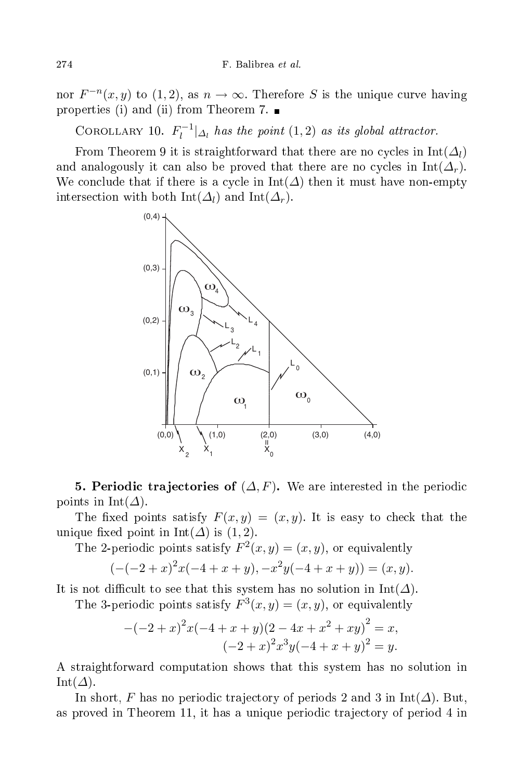nor  $F^{-n}(x, y)$  to  $(1, 2)$ , as  $n \to \infty$ . Therefore S is the unique curve having properties (i) and (ii) from Theorem 7.  $\blacksquare$ 

COROLLARY 10.  $F_l^{-1}|_{\Delta_l}$  has the point  $(1,2)$  as its global attractor.

From Theorem 9 it is straightforward that there are no cycles in  $Int(\Delta_l)$ and analogously it can also be proved that there are no cycles in  $Int(\Delta_r)$ . We conclude that if there is a cycle in  $Int(\Delta)$  then it must have non-empty intersection with both Int( $\Delta_l$ ) and Int( $\Delta_r$ ).



**5. Periodic trajectories of**  $(\Delta, F)$ . We are interested in the periodic points in Int( $\Delta$ ).

The fixed points satisfy  $F(x, y) = (x, y)$ . It is easy to check that the unique fixed point in Int( $\Delta$ ) is (1, 2).

The 2-periodic points satisfy  $F^2(x,y) = (x, y)$ , or equivalently

$$
(-(-2+x)^{2}x(-4+x+y), -x^{2}y(-4+x+y)) = (x, y).
$$

It is not difficult to see that this system has no solution in  $Int(\Delta)$ .

The 3-periodic points satisfy  $F^3(x, y) = (x, y)$ , or equivalently

$$
-(-2+x)^2x(-4+x+y)(2-4x+x^2+xy)^2 = x,
$$
  

$$
(-2+x)^2x^3y(-4+x+y)^2 = y.
$$

A straightforward omputation shows that this system has no solution in Int $(\Delta)$ .

In short, F has no periodic trajectory of periods 2 and 3 in Int( $\Delta$ ). But, as proved in Theorem 11, it has a unique periodic trajectory of period 4 in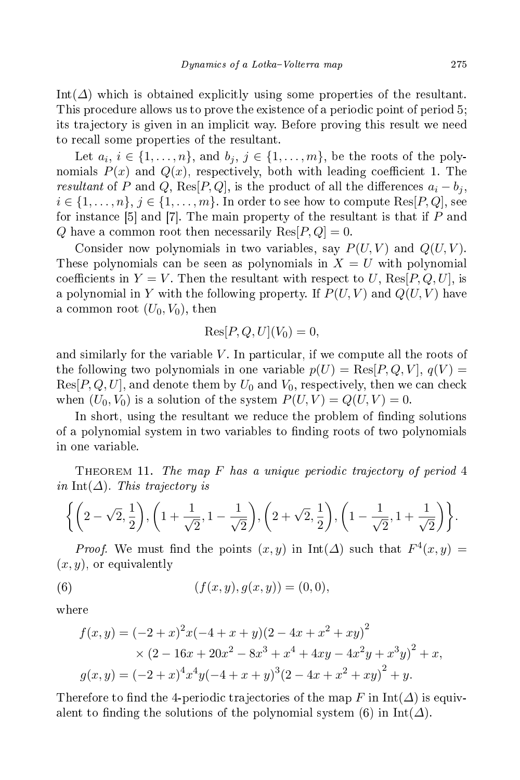Int( $\Delta$ ) which is obtained explicitly using some properties of the resultant. This procedure allows us to prove the existence of a periodic point of period 5; its tra je
tory is given in an impli
it way. Before proving this result we need to re
all some properties of the resultant.

Let  $a_i, i \in \{1, \ldots, n\}$ , and  $b_j, j \in \{1, \ldots, m\}$ , be the roots of the polynomials  $P(x)$  and  $Q(x)$ , respectively, both with leading coefficient 1. The resultant of P and Q, Res[P, Q], is the product of all the differences  $a_i - b_j$ ,  $i \in \{1, \ldots, n\}, j \in \{1, \ldots, m\}.$  In order to see how to compute  $\text{Res}[P,Q]$ , see for instance  $[5]$  and  $[7]$ . The main property of the resultant is that if P and Q have a common root then necessarily  $\text{Res}[P,Q] = 0$ .

Consider now polynomials in two variables, say  $P(U, V)$  and  $Q(U, V)$ . These polynomials can be seen as polynomials in  $X = U$  with polynomial coefficients in  $Y = V$ . Then the resultant with respect to U, Res[P, Q, U], is a polynomial in Y with the following property. If  $P(U, V)$  and  $Q(U, V)$  have a common root  $(U_0, V_0)$ , then

$$
Res[P,Q,U](V_0) = 0,
$$

and similarly for the variable  $V$ . In particular, if we compute all the roots of the following two polynomials in one variable  $p(U) = \text{Res}[P,Q,V], q(V) =$  $\text{Res}[P,Q,U]$ , and denote them by  $U_0$  and  $V_0$ , respectively, then we can check when  $(U_0, V_0)$  is a solution of the system  $P(U, V) = Q(U, V) = 0$ .

In short, using the resultant we reduce the problem of finding solutions of a polynomial system in two variables to finding roots of two polynomials in one variable.

THEOREM 11. The map F has a unique periodic trajectory of period  $4$ in Int( $\Delta$ ). This trajectory is

$$
\left\{ \left(2-\sqrt{2},\frac{1}{2}\right), \left(1+\frac{1}{\sqrt{2}},1-\frac{1}{\sqrt{2}}\right), \left(2+\sqrt{2},\frac{1}{2}\right), \left(1-\frac{1}{\sqrt{2}},1+\frac{1}{\sqrt{2}}\right) \right\}.
$$

*Proof.* We must find the points  $(x, y)$  in Int( $\Delta$ ) such that  $F^4(x, y) =$  $(x, y)$ , or equivalently

(6) 
$$
(f(x, y), g(x, y)) = (0, 0),
$$

where

$$
f(x,y) = (-2+x)^2x(-4+x+y)(2-4x+x^2+xy)^2
$$
  
 
$$
\times (2-16x+20x^2-8x^3+x^4+4xy-4x^2y+x^3y)^2+x,
$$
  
 
$$
g(x,y) = (-2+x)^4x^4y(-4+x+y)^3(2-4x+x^2+xy)^2+y.
$$

Therefore to find the 4-periodic trajectories of the map F in  $Int(\Delta)$  is equivalent to finding the solutions of the polynomial system (6) in Int( $\Delta$ ).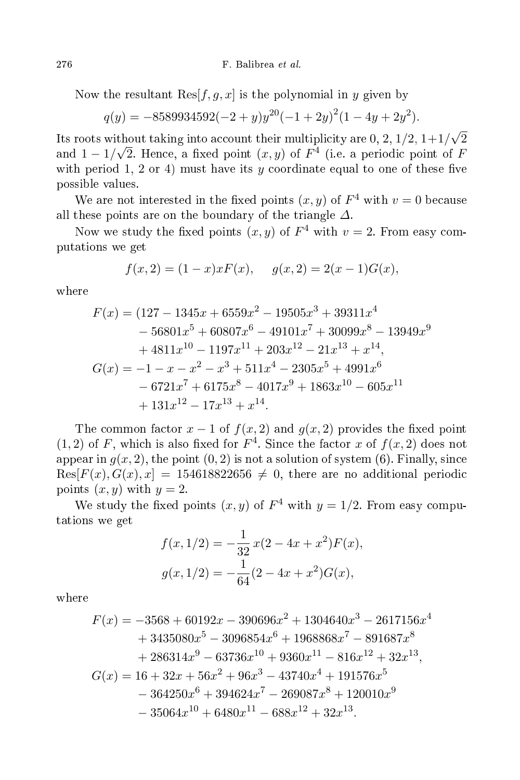Now the resultant  $\text{Res}[f,g,x]$  is the polynomial in y given by

$$
q(y) = -8589934592(-2 + y)y^{20}(-1 + 2y)^{2}(1 - 4y + 2y^{2}).
$$

Its roots without taking into account their multiplicity are 0, 2,  $1/2$ ,  $1+1/\sqrt{2}$ and  $1 - 1/\sqrt{2}$ . Hence, a fixed point  $(x, y)$  of  $F<sup>4</sup>$  (i.e. a periodic point of F with period 1, 2 or 4) must have its y coordinate equal to one of these five possible values.

We are not interested in the fixed points  $(x, y)$  of  $F^4$  with  $v = 0$  because all these points are on the boundary of the triangle  $\varDelta$ .

Now we study the fixed points  $(x, y)$  of  $F<sup>4</sup>$  with  $v = 2$ . From easy computations we get

$$
f(x, 2) = (1 - x)xF(x), \quad g(x, 2) = 2(x - 1)G(x),
$$

where

$$
F(x) = (127 - 1345x + 6559x2 - 19505x3 + 39311x4- 56801x5 + 60807x6 - 49101x7 + 30099x8 - 13949x9+ 4811x10 - 1197x11 + 203x12 - 21x13 + x14,G(x) = -1 - x - x2 - x3 + 511x4 - 2305x5 + 4991x6- 6721x7 + 6175x8 - 4017x9 + 1863x10 - 605x11+ 131x12 - 17x13 + x14.
$$

The common factor  $x - 1$  of  $f(x, 2)$  and  $g(x, 2)$  provides the fixed point  $(1, 2)$  of F, which is also fixed for  $F<sup>4</sup>$ . Since the factor x of  $f(x, 2)$  does not appear in  $g(x, 2)$ , the point  $(0, 2)$  is not a solution of system  $(6)$ . Finally, since  $Res[F(x), G(x), x] = 154618822656 \neq 0$ , there are no additional periodic points  $(x, y)$  with  $y = 2$ .

We study the fixed points  $(x, y)$  of  $F<sup>4</sup>$  with  $y = 1/2$ . From easy computations we get

$$
f(x, 1/2) = -\frac{1}{32}x(2 - 4x + x^2)F(x),
$$
  

$$
g(x, 1/2) = -\frac{1}{64}(2 - 4x + x^2)G(x),
$$

where

$$
F(x) = -3568 + 60192x - 390696x^{2} + 1304640x^{3} - 2617156x^{4}
$$
  
+ 3435080x<sup>5</sup> - 3096854x<sup>6</sup> + 1968868x<sup>7</sup> - 891687x<sup>8</sup>  
+ 286314x<sup>9</sup> - 63736x<sup>10</sup> + 9360x<sup>11</sup> - 816x<sup>12</sup> + 32x<sup>13</sup>,  
G(x) = 16 + 32x + 56x<sup>2</sup> + 96x<sup>3</sup> - 43740x<sup>4</sup> + 191576x<sup>5</sup>  
- 364250x<sup>6</sup> + 394624x<sup>7</sup> - 269087x<sup>8</sup> + 120010x<sup>9</sup>  
- 35064x<sup>10</sup> + 6480x<sup>11</sup> - 688x<sup>12</sup> + 32x<sup>13</sup>.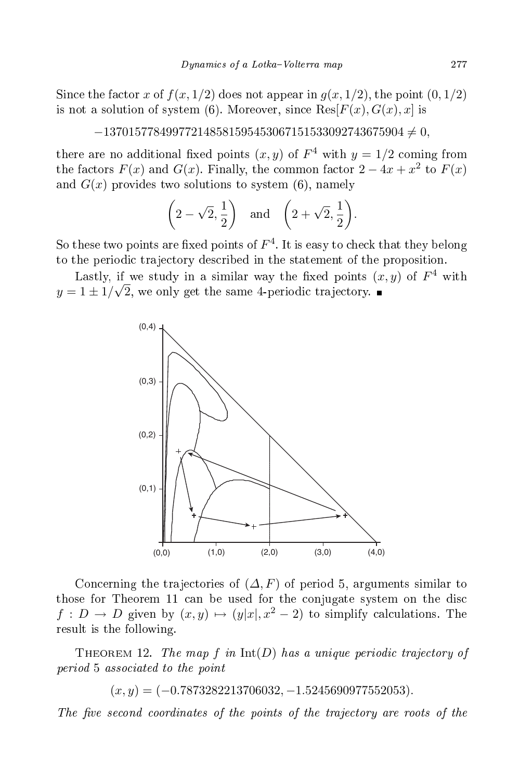Since the factor x of  $f(x, 1/2)$  does not appear in  $g(x, 1/2)$ , the point  $(0, 1/2)$ is not a solution of system (6). Moreover, since  $\text{Res}[F(x), G(x), x]$  is

 $-137015778499772148581595453067151533092743675904 \neq 0,$ 

there are no additional fixed points  $(x, y)$  of  $F^4$  with  $y = 1/2$  coming from the factors  $F(x)$  and  $G(x)$ . Finally, the common factor  $2 - 4x + x^2$  to  $F(x)$ and  $G(x)$  provides two solutions to system (6), namely

$$
\left(2-\sqrt{2},\frac{1}{2}\right)
$$
 and  $\left(2+\sqrt{2},\frac{1}{2}\right)$ .

So these two points are fixed points of  $F^4$ . It is easy to check that they belong to the periodic trajectory described in the statement of the proposition.

Lastly, if we study in a similar way the fixed points  $(x, y)$  of  $F^4$  with  $y = 1 \pm 1/\sqrt{2}$ , we only get the same 4-periodic trajectory.



Concerning the trajectories of  $(\Delta, F)$  of period 5, arguments similar to those for Theorem 11 can be used for the conjugate system on the disc  $f: D \to D$  given by  $(x, y) \mapsto (y|x|, x^2 - 2)$  to simplify calculations. The result is the following.

THEOREM 12. The map f in  $Int(D)$  has a unique periodic trajectory of period 5 asso
iated to the point

 $(x, y) = (-0.7873282213706032, -1.5245690977552053).$ 

The five second coordinates of the points of the trajectory are roots of the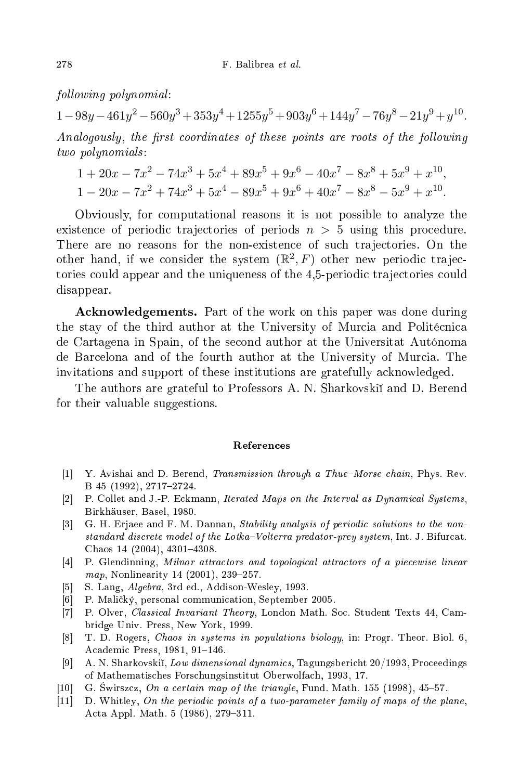$following polynomial:$ 

 $1-98y-461y^2-560y^3+353y^4+1255y^5+903y^6+144y^7-76y^8-21y^9+y^{10}$ Analogously, the first coordinates of these points are roots of the following Analogously , the rst oordinates of these points are roots of the fol lowing two polynomials :

$$
1 + 20x - 7x^{2} - 74x^{3} + 5x^{4} + 89x^{5} + 9x^{6} - 40x^{7} - 8x^{8} + 5x^{9} + x^{10},
$$
  

$$
1 - 20x - 7x^{2} + 74x^{3} + 5x^{4} - 89x^{5} + 9x^{6} + 40x^{7} - 8x^{8} - 5x^{9} + x^{10}.
$$

Obviously, for omputational reasons it is not possible to analyze the existence of periodic trajectories of periods  $n > 5$  using this procedure. There are no reasons for the non-existen
e of su
h tra je
tories. On the other hand, if we consider the system  $(\mathbb{R}^2, F)$  other new periodic trajectories could appear and the uniqueness of the 4,5-periodic trajectories could disappear.

Acknowledgements. Part of the work on this paper was done during the stay of the third author at the University of Murcia and Politécnica de Cartagena in Spain, of the se
ond author at the Universitat Autónoma de Bar
elona and of the fourth author at the University of Mur
ia. The invitations and support of these institutions are gratefully a
knowledged.

The authors are grateful to Professors A. N. Sharkovski and D. Berend for their valuable suggestions.

## Referen
es

- [1] Y. Avishai and D. Berend, *Transmission through a Thue–Morse chain*, Phys. Rev. B 45 (1992), 2717-2724.
- [2] P. Collet and J.-P. Eckmann, Iterated Maps on the Interval as Dynamical Systems, Birkhäuser, Basel, 1980.
- [3] G. H. Erjaee and F. M. Dannan, *Stability analysis of periodic solutions to the non*standard discrete model of the Lotka-Volterra predator-prey system, Int. J. Bifurcat. Chaos 14 (2004), 4301-4308.
- [4] P. Glendinning, Milnor attractors and topological attractors of a piecewise linear map, Nonlinearity 14 (2001), 239-257.
- $[5]$  S. Lang, *Algebra*, 3rd ed., Addison-Wesley, 1993.
- [6] P. Maličký, personal communication, September 2005.
- [7] P. Olver, *Classical Invariant Theory*, London Math. Soc. Student Texts 44, Cambridge Univ. Press, New York, 1999.
- [8] T. D. Rogers, Chaos in systems in populations biology, in: Progr. Theor. Biol. 6, Academic Press, 1981, 91-146.
- [9] A. N. Sharkovskii, Low dimensional dynamics, Tagungsbericht 20/1993, Proceedings of Mathematis
hes Fors
hungsinstitut Oberwolfa
h, 1993, 17.
- [10] G. Swirszcz, On a certain map of the triangle, Fund. Math.  $155$  (1998),  $45-57$ .
- $[11]$  D. Whitley, On the periodic points of a two-parameter family of maps of the plane, Acta Appl. Math. 5 (1986), 279-311.